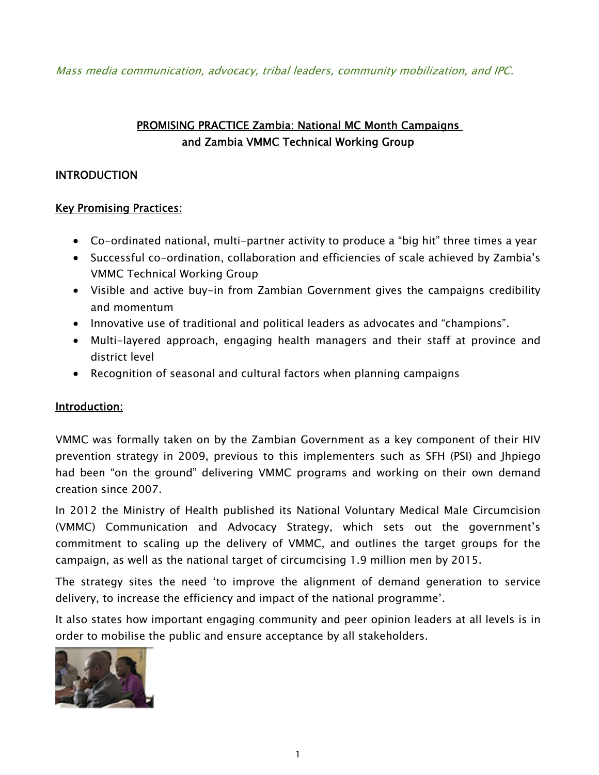Mass media communication, advocacy, tribal leaders, community mobilization, and IPC.

# PROMISING PRACTICE Zambia: National MC Month Campaigns and Zambia VMMC Technical Working Group

## **INTRODUCTION**

## Key Promising Practices:

- Co-ordinated national, multi-partner activity to produce a "big hit" three times a year
- Successful co-ordination, collaboration and efficiencies of scale achieved by Zambia's VMMC Technical Working Group
- Visible and active buy-in from Zambian Government gives the campaigns credibility and momentum
- Innovative use of traditional and political leaders as advocates and "champions".
- Multi-layered approach, engaging health managers and their staff at province and district level
- Recognition of seasonal and cultural factors when planning campaigns

## Introduction:

VMMC was formally taken on by the Zambian Government as a key component of their HIV prevention strategy in 2009, previous to this implementers such as SFH (PSI) and Jhpiego had been "on the ground" delivering VMMC programs and working on their own demand creation since 2007.

In 2012 the Ministry of Health published its National Voluntary Medical Male Circumcision (VMMC) Communication and Advocacy Strategy, which sets out the government's commitment to scaling up the delivery of VMMC, and outlines the target groups for the campaign, as well as the national target of circumcising 1.9 million men by 2015.

The strategy sites the need 'to improve the alignment of demand generation to service delivery, to increase the efficiency and impact of the national programme'.

It also states how important engaging community and peer opinion leaders at all levels is in order to mobilise the public and ensure acceptance by all stakeholders.

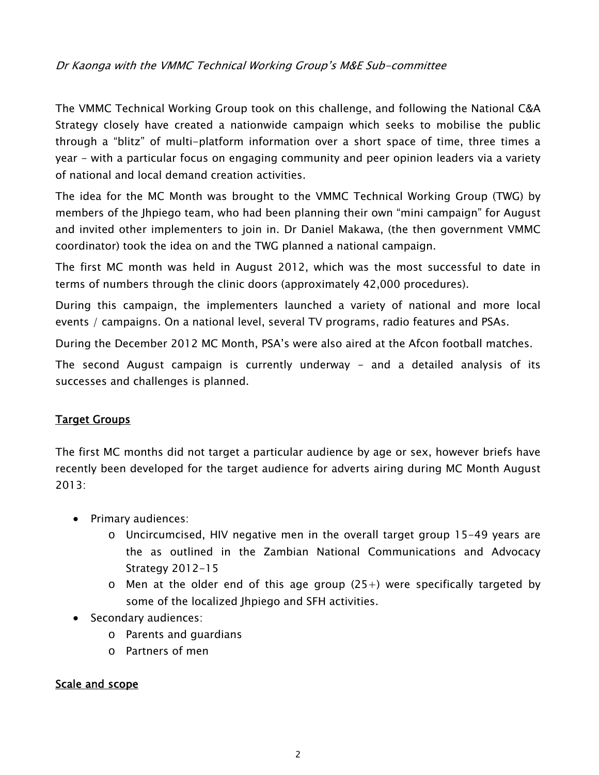## Dr Kaonga with the VMMC Technical Working Group's M&E Sub-committee

The VMMC Technical Working Group took on this challenge, and following the National C&A Strategy closely have created a nationwide campaign which seeks to mobilise the public through a "blitz" of multi-platform information over a short space of time, three times a year - with a particular focus on engaging community and peer opinion leaders via a variety of national and local demand creation activities.

The idea for the MC Month was brought to the VMMC Technical Working Group (TWG) by members of the Jhpiego team, who had been planning their own "mini campaign" for August and invited other implementers to join in. Dr Daniel Makawa, (the then government VMMC coordinator) took the idea on and the TWG planned a national campaign.

The first MC month was held in August 2012, which was the most successful to date in terms of numbers through the clinic doors (approximately 42,000 procedures).

During this campaign, the implementers launched a variety of national and more local events / campaigns. On a national level, several TV programs, radio features and PSAs.

During the December 2012 MC Month, PSA's were also aired at the Afcon football matches.

The second August campaign is currently underway – and a detailed analysis of its successes and challenges is planned.

## Target Groups

The first MC months did not target a particular audience by age or sex, however briefs have recently been developed for the target audience for adverts airing during MC Month August 2013:

- Primary audiences:
	- o Uncircumcised, HIV negative men in the overall target group 15-49 years are the as outlined in the Zambian National Communications and Advocacy Strategy 2012-15
	- $\circ$  Men at the older end of this age group (25+) were specifically targeted by some of the localized Jhpiego and SFH activities.
- Secondary audiences:
	- o Parents and guardians
	- o Partners of men

## Scale and scope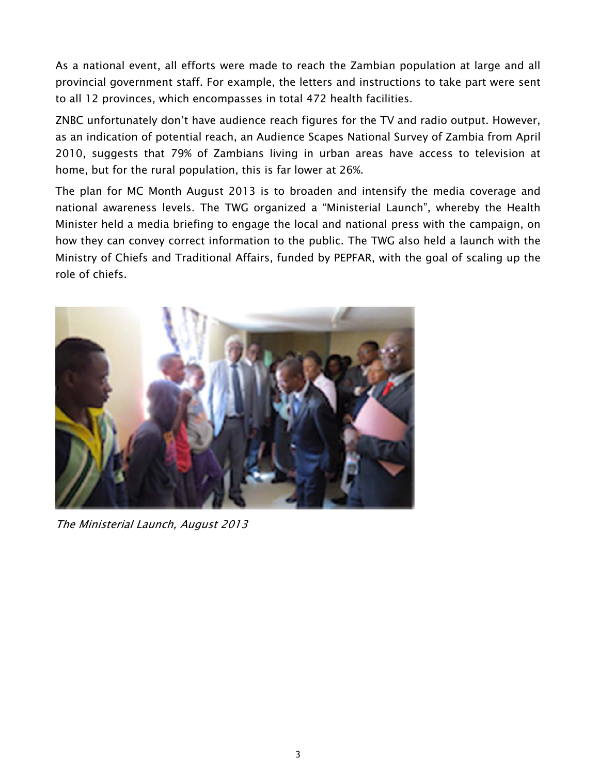As a national event, all efforts were made to reach the Zambian population at large and all provincial government staff. For example, the letters and instructions to take part were sent to all 12 provinces, which encompasses in total 472 health facilities.

ZNBC unfortunately don't have audience reach figures for the TV and radio output. However, as an indication of potential reach, an Audience Scapes National Survey of Zambia from April 2010, suggests that 79% of Zambians living in urban areas have access to television at home, but for the rural population, this is far lower at 26%.

The plan for MC Month August 2013 is to broaden and intensify the media coverage and national awareness levels. The TWG organized a "Ministerial Launch", whereby the Health Minister held a media briefing to engage the local and national press with the campaign, on how they can convey correct information to the public. The TWG also held a launch with the Ministry of Chiefs and Traditional Affairs, funded by PEPFAR, with the goal of scaling up the role of chiefs.



The Ministerial Launch, August 2013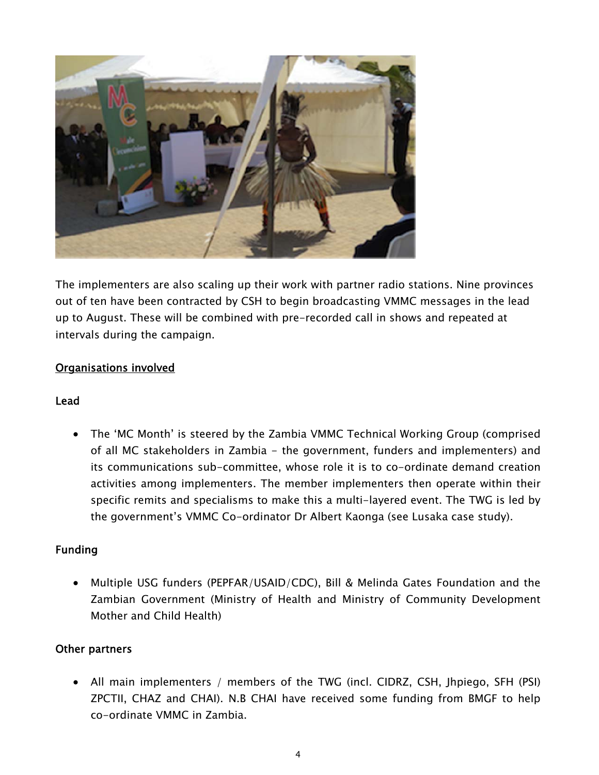

The implementers are also scaling up their work with partner radio stations. Nine provinces out of ten have been contracted by CSH to begin broadcasting VMMC messages in the lead up to August. These will be combined with pre-recorded call in shows and repeated at intervals during the campaign.

## Organisations involved

## Lead

 The 'MC Month' is steered by the Zambia VMMC Technical Working Group (comprised of all MC stakeholders in Zambia - the government, funders and implementers) and its communications sub-committee, whose role it is to co-ordinate demand creation activities among implementers. The member implementers then operate within their specific remits and specialisms to make this a multi-layered event. The TWG is led by the government's VMMC Co-ordinator Dr Albert Kaonga (see Lusaka case study).

## Funding

 Multiple USG funders (PEPFAR/USAID/CDC), Bill & Melinda Gates Foundation and the Zambian Government (Ministry of Health and Ministry of Community Development Mother and Child Health)

## Other partners

 All main implementers / members of the TWG (incl. CIDRZ, CSH, Jhpiego, SFH (PSI) ZPCTII, CHAZ and CHAI). N.B CHAI have received some funding from BMGF to help co-ordinate VMMC in Zambia.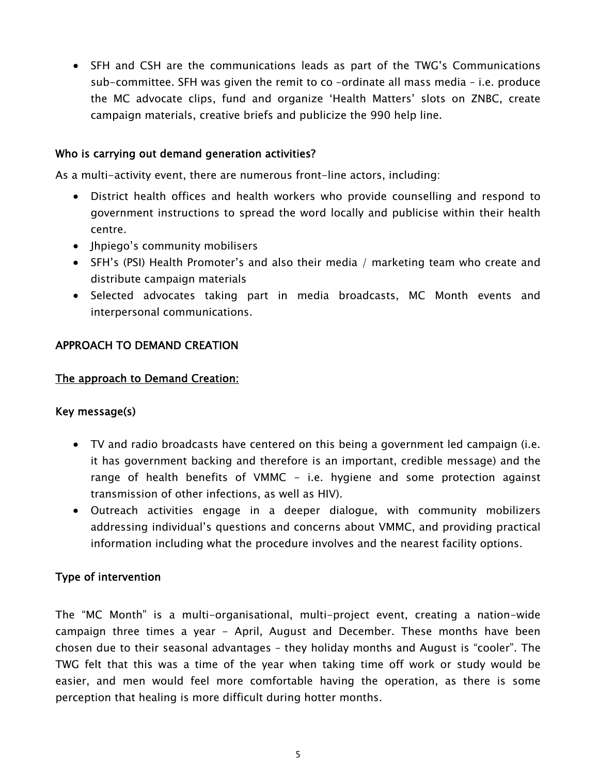SFH and CSH are the communications leads as part of the TWG's Communications sub-committee. SFH was given the remit to co –ordinate all mass media – i.e. produce the MC advocate clips, fund and organize 'Health Matters' slots on ZNBC, create campaign materials, creative briefs and publicize the 990 help line.

## Who is carrying out demand generation activities?

As a multi-activity event, there are numerous front-line actors, including:

- District health offices and health workers who provide counselling and respond to government instructions to spread the word locally and publicise within their health centre.
- Ihpiego's community mobilisers
- SFH's (PSI) Health Promoter's and also their media / marketing team who create and distribute campaign materials
- Selected advocates taking part in media broadcasts, MC Month events and interpersonal communications.

## APPROACH TO DEMAND CREATION

## The approach to Demand Creation:

## Key message(s)

- TV and radio broadcasts have centered on this being a government led campaign (i.e. it has government backing and therefore is an important, credible message) and the range of health benefits of VMMC - i.e. hygiene and some protection against transmission of other infections, as well as HIV).
- Outreach activities engage in a deeper dialogue, with community mobilizers addressing individual's questions and concerns about VMMC, and providing practical information including what the procedure involves and the nearest facility options.

## Type of intervention

The "MC Month" is a multi-organisational, multi-project event, creating a nation-wide campaign three times a year - April, August and December. These months have been chosen due to their seasonal advantages – they holiday months and August is "cooler". The TWG felt that this was a time of the year when taking time off work or study would be easier, and men would feel more comfortable having the operation, as there is some perception that healing is more difficult during hotter months.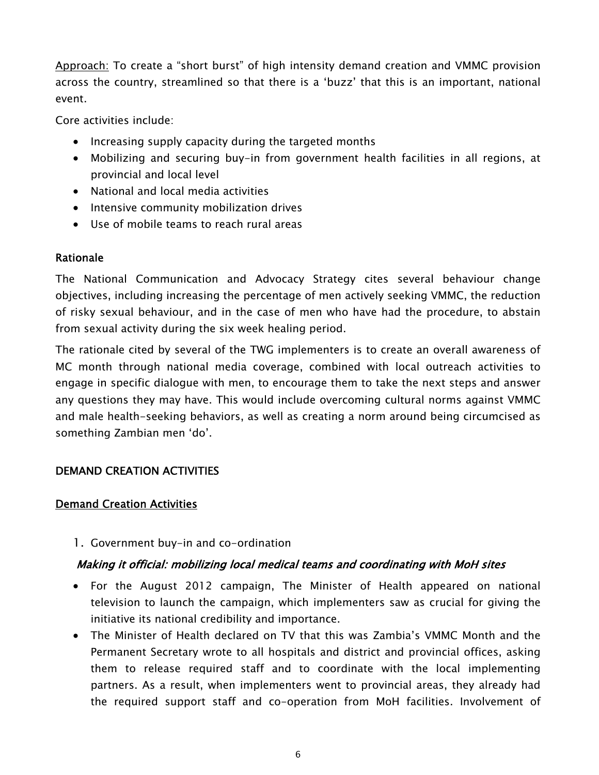Approach: To create a "short burst" of high intensity demand creation and VMMC provision across the country, streamlined so that there is a 'buzz' that this is an important, national event.

Core activities include:

- Increasing supply capacity during the targeted months
- Mobilizing and securing buy-in from government health facilities in all regions, at provincial and local level
- National and local media activities
- Intensive community mobilization drives
- Use of mobile teams to reach rural areas

# Rationale

The National Communication and Advocacy Strategy cites several behaviour change objectives, including increasing the percentage of men actively seeking VMMC, the reduction of risky sexual behaviour, and in the case of men who have had the procedure, to abstain from sexual activity during the six week healing period.

The rationale cited by several of the TWG implementers is to create an overall awareness of MC month through national media coverage, combined with local outreach activities to engage in specific dialogue with men, to encourage them to take the next steps and answer any questions they may have. This would include overcoming cultural norms against VMMC and male health-seeking behaviors, as well as creating a norm around being circumcised as something Zambian men 'do'.

# DEMAND CREATION ACTIVITIES

## Demand Creation Activities

1. Government buy-in and co-ordination

# Making it official: mobilizing local medical teams and coordinating with MoH sites

- For the August 2012 campaign, The Minister of Health appeared on national television to launch the campaign, which implementers saw as crucial for giving the initiative its national credibility and importance.
- The Minister of Health declared on TV that this was Zambia's VMMC Month and the Permanent Secretary wrote to all hospitals and district and provincial offices, asking them to release required staff and to coordinate with the local implementing partners. As a result, when implementers went to provincial areas, they already had the required support staff and co-operation from MoH facilities. Involvement of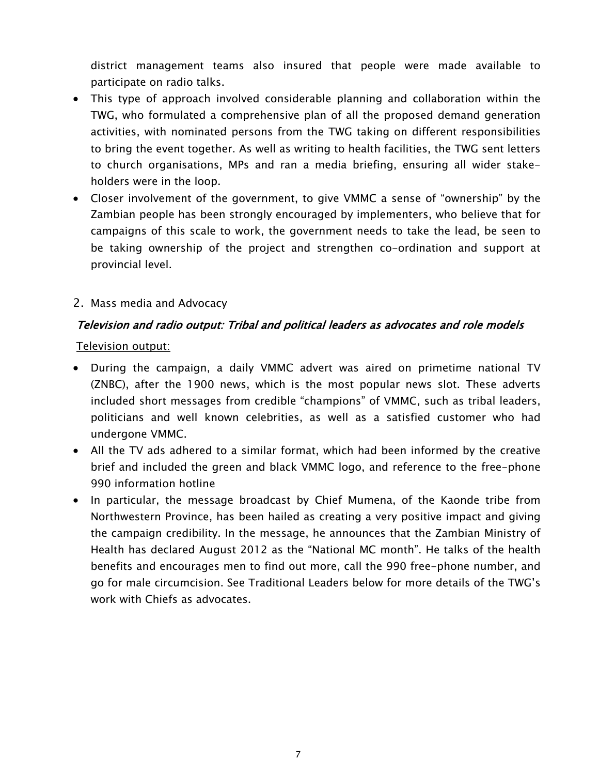district management teams also insured that people were made available to participate on radio talks.

- This type of approach involved considerable planning and collaboration within the TWG, who formulated a comprehensive plan of all the proposed demand generation activities, with nominated persons from the TWG taking on different responsibilities to bring the event together. As well as writing to health facilities, the TWG sent letters to church organisations, MPs and ran a media briefing, ensuring all wider stakeholders were in the loop.
- Closer involvement of the government, to give VMMC a sense of "ownership" by the Zambian people has been strongly encouraged by implementers, who believe that for campaigns of this scale to work, the government needs to take the lead, be seen to be taking ownership of the project and strengthen co-ordination and support at provincial level.
- 2. Mass media and Advocacy

## Television and radio output: Tribal and political leaders as advocates and role models

Television output:

- During the campaign, a daily VMMC advert was aired on primetime national TV (ZNBC), after the 1900 news, which is the most popular news slot. These adverts included short messages from credible "champions" of VMMC, such as tribal leaders, politicians and well known celebrities, as well as a satisfied customer who had undergone VMMC.
- All the TV ads adhered to a similar format, which had been informed by the creative brief and included the green and black VMMC logo, and reference to the free-phone 990 information hotline
- In particular, the message broadcast by Chief Mumena, of the Kaonde tribe from Northwestern Province, has been hailed as creating a very positive impact and giving the campaign credibility. In the message, he announces that the Zambian Ministry of Health has declared August 2012 as the "National MC month". He talks of the health benefits and encourages men to find out more, call the 990 free-phone number, and go for male circumcision. See Traditional Leaders below for more details of the TWG's work with Chiefs as advocates.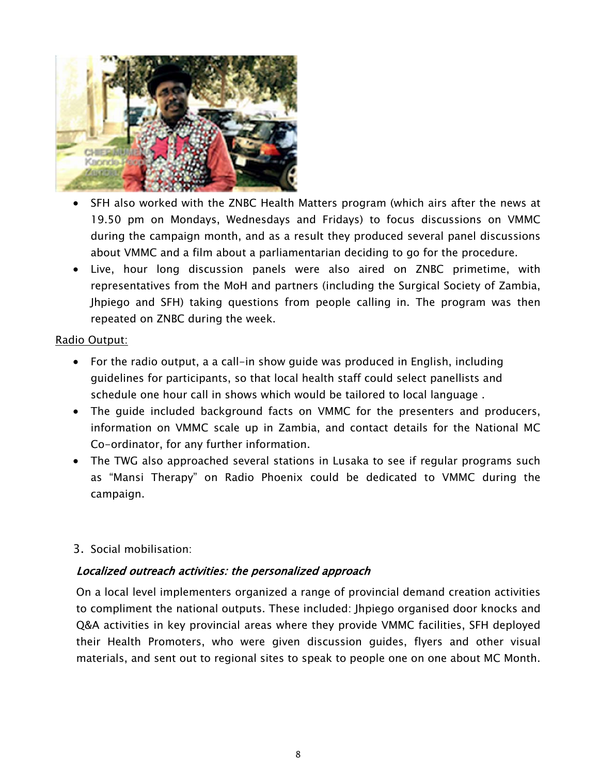

- SFH also worked with the ZNBC Health Matters program (which airs after the news at 19.50 pm on Mondays, Wednesdays and Fridays) to focus discussions on VMMC during the campaign month, and as a result they produced several panel discussions about VMMC and a film about a parliamentarian deciding to go for the procedure.
- Live, hour long discussion panels were also aired on ZNBC primetime, with representatives from the MoH and partners (including the Surgical Society of Zambia, Jhpiego and SFH) taking questions from people calling in. The program was then repeated on ZNBC during the week.

### Radio Output:

- For the radio output, a a call-in show guide was produced in English, including guidelines for participants, so that local health staff could select panellists and schedule one hour call in shows which would be tailored to local language .
- The guide included background facts on VMMC for the presenters and producers, information on VMMC scale up in Zambia, and contact details for the National MC Co-ordinator, for any further information.
- The TWG also approached several stations in Lusaka to see if regular programs such as "Mansi Therapy" on Radio Phoenix could be dedicated to VMMC during the campaign.

## 3. Social mobilisation:

## Localized outreach activities: the personalized approach

On a local level implementers organized a range of provincial demand creation activities to compliment the national outputs. These included: Jhpiego organised door knocks and Q&A activities in key provincial areas where they provide VMMC facilities, SFH deployed their Health Promoters, who were given discussion guides, flyers and other visual materials, and sent out to regional sites to speak to people one on one about MC Month.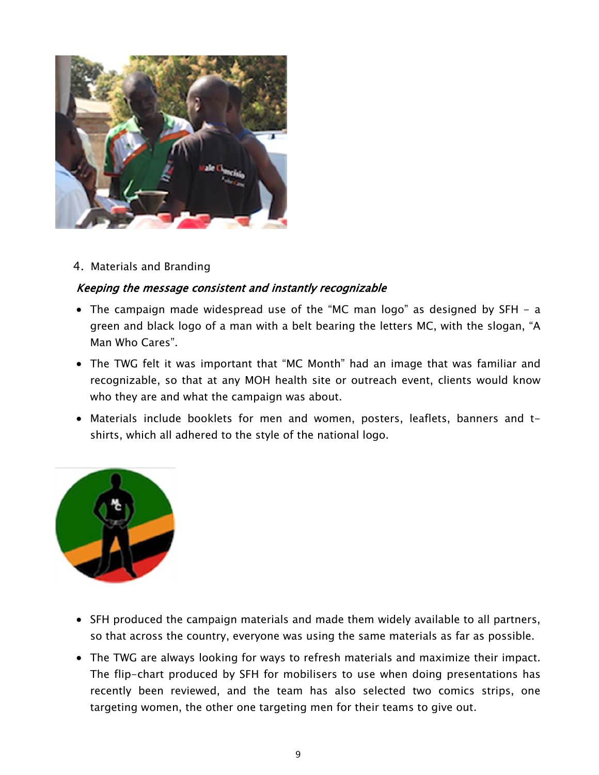

4. Materials and Branding

## Keeping the message consistent and instantly recognizable

- The campaign made widespread use of the "MC man logo" as designed by SFH a green and black logo of a man with a belt bearing the letters MC, with the slogan, "A Man Who Cares".
- The TWG felt it was important that "MC Month" had an image that was familiar and recognizable, so that at any MOH health site or outreach event, clients would know who they are and what the campaign was about.
- Materials include booklets for men and women, posters, leaflets, banners and tshirts, which all adhered to the style of the national logo.



- SFH produced the campaign materials and made them widely available to all partners, so that across the country, everyone was using the same materials as far as possible.
- The TWG are always looking for ways to refresh materials and maximize their impact. The flip-chart produced by SFH for mobilisers to use when doing presentations has recently been reviewed, and the team has also selected two comics strips, one targeting women, the other one targeting men for their teams to give out.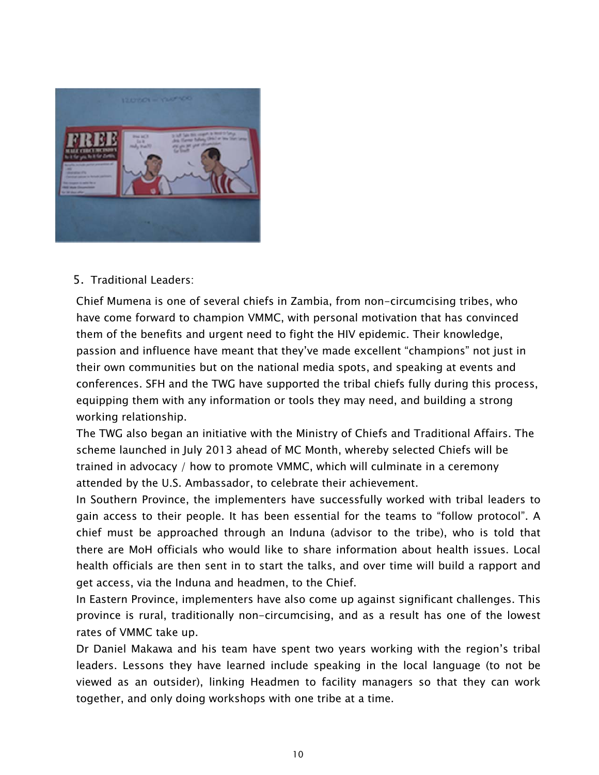

5. Traditional Leaders:

Chief Mumena is one of several chiefs in Zambia, from non-circumcising tribes, who have come forward to champion VMMC, with personal motivation that has convinced them of the benefits and urgent need to fight the HIV epidemic. Their knowledge, passion and influence have meant that they've made excellent "champions" not just in their own communities but on the national media spots, and speaking at events and conferences. SFH and the TWG have supported the tribal chiefs fully during this process, equipping them with any information or tools they may need, and building a strong working relationship.

The TWG also began an initiative with the Ministry of Chiefs and Traditional Affairs. The scheme launched in July 2013 ahead of MC Month, whereby selected Chiefs will be trained in advocacy / how to promote VMMC, which will culminate in a ceremony attended by the U.S. Ambassador, to celebrate their achievement.

In Southern Province, the implementers have successfully worked with tribal leaders to gain access to their people. It has been essential for the teams to "follow protocol". A chief must be approached through an Induna (advisor to the tribe), who is told that there are MoH officials who would like to share information about health issues. Local health officials are then sent in to start the talks, and over time will build a rapport and get access, via the Induna and headmen, to the Chief.

In Eastern Province, implementers have also come up against significant challenges. This province is rural, traditionally non-circumcising, and as a result has one of the lowest rates of VMMC take up.

Dr Daniel Makawa and his team have spent two years working with the region's tribal leaders. Lessons they have learned include speaking in the local language (to not be viewed as an outsider), linking Headmen to facility managers so that they can work together, and only doing workshops with one tribe at a time.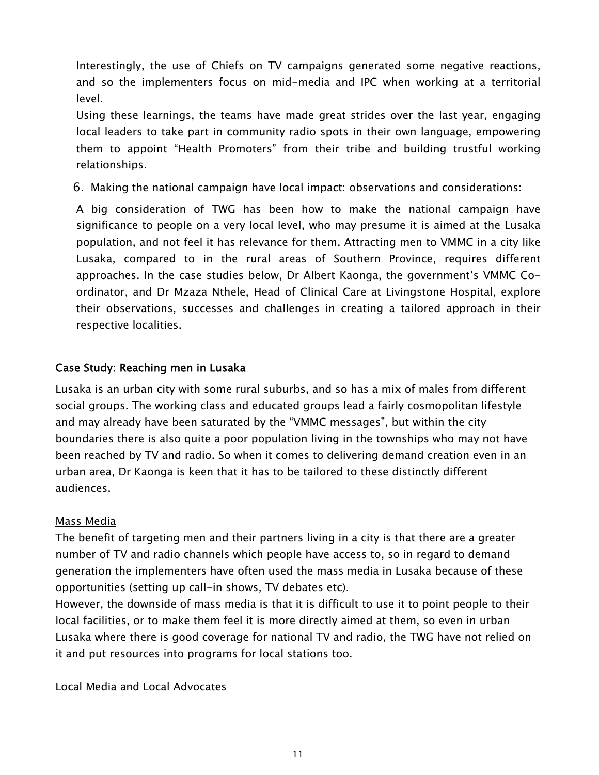Interestingly, the use of Chiefs on TV campaigns generated some negative reactions, and so the implementers focus on mid-media and IPC when working at a territorial level.

Using these learnings, the teams have made great strides over the last year, engaging local leaders to take part in community radio spots in their own language, empowering them to appoint "Health Promoters" from their tribe and building trustful working relationships.

6. Making the national campaign have local impact: observations and considerations:

A big consideration of TWG has been how to make the national campaign have significance to people on a very local level, who may presume it is aimed at the Lusaka population, and not feel it has relevance for them. Attracting men to VMMC in a city like Lusaka, compared to in the rural areas of Southern Province, requires different approaches. In the case studies below, Dr Albert Kaonga, the government's VMMC Coordinator, and Dr Mzaza Nthele, Head of Clinical Care at Livingstone Hospital, explore their observations, successes and challenges in creating a tailored approach in their respective localities.

## Case Study: Reaching men in Lusaka

Lusaka is an urban city with some rural suburbs, and so has a mix of males from different social groups. The working class and educated groups lead a fairly cosmopolitan lifestyle and may already have been saturated by the "VMMC messages", but within the city boundaries there is also quite a poor population living in the townships who may not have been reached by TV and radio. So when it comes to delivering demand creation even in an urban area, Dr Kaonga is keen that it has to be tailored to these distinctly different audiences.

## Mass Media

The benefit of targeting men and their partners living in a city is that there are a greater number of TV and radio channels which people have access to, so in regard to demand generation the implementers have often used the mass media in Lusaka because of these opportunities (setting up call-in shows, TV debates etc).

However, the downside of mass media is that it is difficult to use it to point people to their local facilities, or to make them feel it is more directly aimed at them, so even in urban Lusaka where there is good coverage for national TV and radio, the TWG have not relied on it and put resources into programs for local stations too.

## Local Media and Local Advocates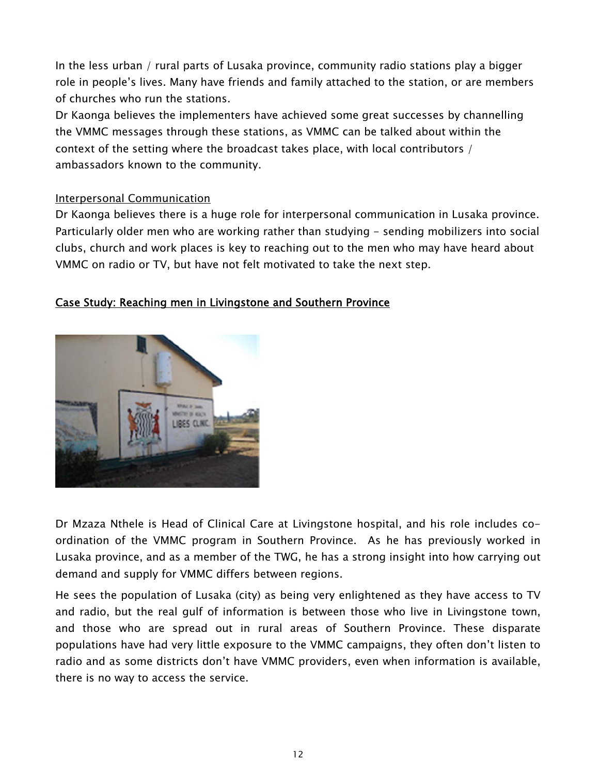In the less urban / rural parts of Lusaka province, community radio stations play a bigger role in people's lives. Many have friends and family attached to the station, or are members of churches who run the stations.

Dr Kaonga believes the implementers have achieved some great successes by channelling the VMMC messages through these stations, as VMMC can be talked about within the context of the setting where the broadcast takes place, with local contributors / ambassadors known to the community.

## Interpersonal Communication

Dr Kaonga believes there is a huge role for interpersonal communication in Lusaka province. Particularly older men who are working rather than studying - sending mobilizers into social clubs, church and work places is key to reaching out to the men who may have heard about VMMC on radio or TV, but have not felt motivated to take the next step.

## Case Study: Reaching men in Livingstone and Southern Province



Dr Mzaza Nthele is Head of Clinical Care at Livingstone hospital, and his role includes coordination of the VMMC program in Southern Province. As he has previously worked in Lusaka province, and as a member of the TWG, he has a strong insight into how carrying out demand and supply for VMMC differs between regions.

He sees the population of Lusaka (city) as being very enlightened as they have access to TV and radio, but the real gulf of information is between those who live in Livingstone town, and those who are spread out in rural areas of Southern Province. These disparate populations have had very little exposure to the VMMC campaigns, they often don't listen to radio and as some districts don't have VMMC providers, even when information is available, there is no way to access the service.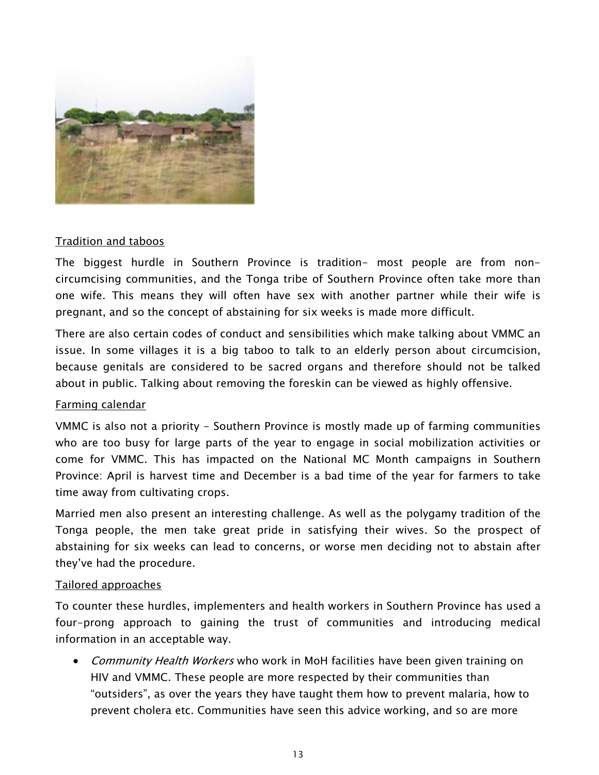

## Tradition and taboos

The biggest hurdle in Southern Province is tradition- most people are from noncircumcising communities, and the Tonga tribe of Southern Province often take more than one wife. This means they will often have sex with another partner while their wife is pregnant, and so the concept of abstaining for six weeks is made more difficult.

There are also certain codes of conduct and sensibilities which make talking about VMMC an issue. In some villages it is a big taboo to talk to an elderly person about circumcision, because genitals are considered to be sacred organs and therefore should not be talked about in public. Talking about removing the foreskin can be viewed as highly offensive.

#### Farming calendar

VMMC is also not a priority - Southern Province is mostly made up of farming communities who are too busy for large parts of the year to engage in social mobilization activities or come for VMMC. This has impacted on the National MC Month campaigns in Southern Province: April is harvest time and December is a bad time of the year for farmers to take time away from cultivating crops.

Married men also present an interesting challenge. As well as the polygamy tradition of the Tonga people, the men take great pride in satisfying their wives. So the prospect of abstaining for six weeks can lead to concerns, or worse men deciding not to abstain after they've had the procedure.

#### Tailored approaches

To counter these hurdles, implementers and health workers in Southern Province has used a four-prong approach to gaining the trust of communities and introducing medical information in an acceptable way.

• Community Health Workers who work in MoH facilities have been given training on HIV and VMMC. These people are more respected by their communities than "outsiders", as over the years they have taught them how to prevent malaria, how to prevent cholera etc. Communities have seen this advice working, and so are more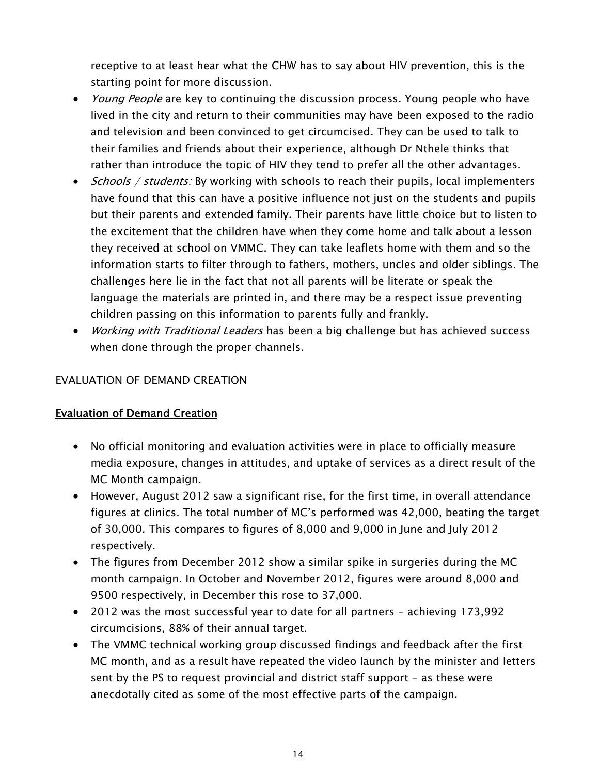receptive to at least hear what the CHW has to say about HIV prevention, this is the starting point for more discussion.

- *Young People* are key to continuing the discussion process. Young people who have lived in the city and return to their communities may have been exposed to the radio and television and been convinced to get circumcised. They can be used to talk to their families and friends about their experience, although Dr Nthele thinks that rather than introduce the topic of HIV they tend to prefer all the other advantages.
- *Schools / students:* By working with schools to reach their pupils, local implementers have found that this can have a positive influence not just on the students and pupils but their parents and extended family. Their parents have little choice but to listen to the excitement that the children have when they come home and talk about a lesson they received at school on VMMC. They can take leaflets home with them and so the information starts to filter through to fathers, mothers, uncles and older siblings. The challenges here lie in the fact that not all parents will be literate or speak the language the materials are printed in, and there may be a respect issue preventing children passing on this information to parents fully and frankly.
- *Working with Traditional Leaders* has been a big challenge but has achieved success when done through the proper channels.

## EVALUATION OF DEMAND CREATION

## Evaluation of Demand Creation

- No official monitoring and evaluation activities were in place to officially measure media exposure, changes in attitudes, and uptake of services as a direct result of the MC Month campaign.
- However, August 2012 saw a significant rise, for the first time, in overall attendance figures at clinics. The total number of MC's performed was 42,000, beating the target of 30,000. This compares to figures of 8,000 and 9,000 in June and July 2012 respectively.
- The figures from December 2012 show a similar spike in surgeries during the MC month campaign. In October and November 2012, figures were around 8,000 and 9500 respectively, in December this rose to 37,000.
- 2012 was the most successful year to date for all partners achieving 173,992 circumcisions, 88% of their annual target.
- The VMMC technical working group discussed findings and feedback after the first MC month, and as a result have repeated the video launch by the minister and letters sent by the PS to request provincial and district staff support - as these were anecdotally cited as some of the most effective parts of the campaign.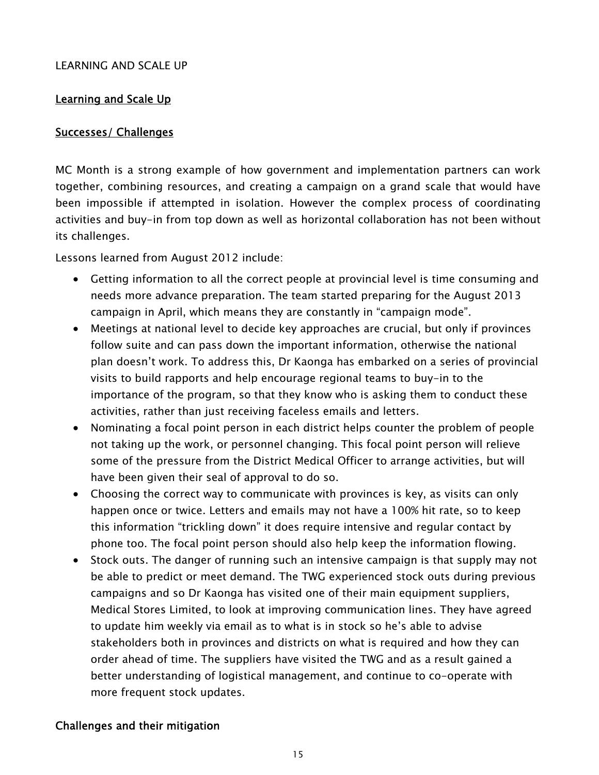## LEARNING AND SCALE UP

## Learning and Scale Up

### Successes/ Challenges

MC Month is a strong example of how government and implementation partners can work together, combining resources, and creating a campaign on a grand scale that would have been impossible if attempted in isolation. However the complex process of coordinating activities and buy-in from top down as well as horizontal collaboration has not been without its challenges.

Lessons learned from August 2012 include:

- Getting information to all the correct people at provincial level is time consuming and needs more advance preparation. The team started preparing for the August 2013 campaign in April, which means they are constantly in "campaign mode".
- Meetings at national level to decide key approaches are crucial, but only if provinces follow suite and can pass down the important information, otherwise the national plan doesn't work. To address this, Dr Kaonga has embarked on a series of provincial visits to build rapports and help encourage regional teams to buy-in to the importance of the program, so that they know who is asking them to conduct these activities, rather than just receiving faceless emails and letters.
- Nominating a focal point person in each district helps counter the problem of people not taking up the work, or personnel changing. This focal point person will relieve some of the pressure from the District Medical Officer to arrange activities, but will have been given their seal of approval to do so.
- Choosing the correct way to communicate with provinces is key, as visits can only happen once or twice. Letters and emails may not have a 100% hit rate, so to keep this information "trickling down" it does require intensive and regular contact by phone too. The focal point person should also help keep the information flowing.
- Stock outs. The danger of running such an intensive campaign is that supply may not be able to predict or meet demand. The TWG experienced stock outs during previous campaigns and so Dr Kaonga has visited one of their main equipment suppliers, Medical Stores Limited, to look at improving communication lines. They have agreed to update him weekly via email as to what is in stock so he's able to advise stakeholders both in provinces and districts on what is required and how they can order ahead of time. The suppliers have visited the TWG and as a result gained a better understanding of logistical management, and continue to co-operate with more frequent stock updates.

## Challenges and their mitigation